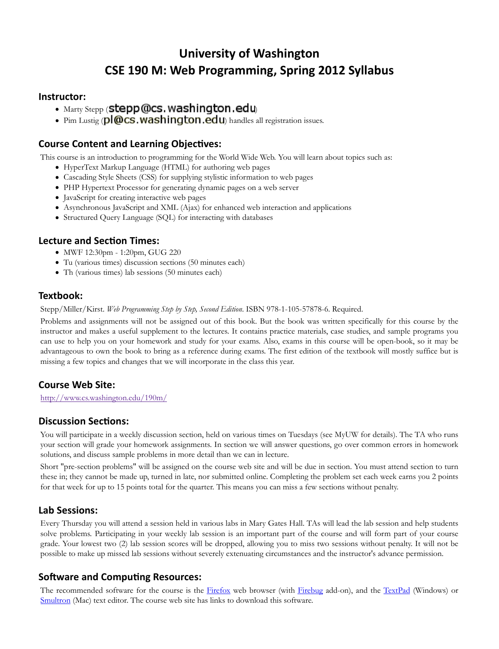# University of Washington CSE 190 M: Web Programming, Spring 2012 Syllabus

#### Instructor:

- $\bullet$  Marty Stepp (Stepp @cs. washington.edu)
- $\bullet$  Pim Lustig ( $\mathsf{pl}$ @cs.washington.edu) handles all registration issues.

#### Course Content and Learning Objectives:

This course is an introduction to programming for the World Wide Web. You will learn about topics such as:

- HyperText Markup Language (HTML) for authoring web pages
- Cascading Style Sheets (CSS) for supplying stylistic information to web pages
- PHP Hypertext Processor for generating dynamic pages on a web server
- JavaScript for creating interactive web pages
- Asynchronous JavaScript and XML (Ajax) for enhanced web interaction and applications
- Structured Query Language (SQL) for interacting with databases

#### **Lecture and Section Times:**

- MWF 12:30pm 1:20pm, GUG 220
- Tu (various times) discussion sections (50 minutes each)
- Th (various times) lab sessions (50 minutes each)

#### Textbook:

Stepp/Miller/Kirst. Web Programming Step by Step, Second Edition. ISBN 978-1-105-57878-6. Required.

Problems and assignments will not be assigned out of this book. But the book was written specifically for this course by the instructor and makes a useful supplement to the lectures. It contains practice materials, case studies, and sample programs you can use to help you on your homework and study for your exams. Also, exams in this course will be open-book, so it may be advantageous to own the book to bring as a reference during exams. The first edition of the textbook will mostly suffice but is missing a few topics and changes that we will incorporate in the class this year.

#### Course Web Site:

http://www.cs.washington.edu/190m/

#### **Discussion Sections:**

You will participate in a weekly discussion section, held on various times on Tuesdays (see MyUW for details). The TA who runs your section will grade your homework assignments. In section we will answer questions, go over common errors in homework solutions, and discuss sample problems in more detail than we can in lecture.

Short "pre-section problems" will be assigned on the course web site and will be due in section. You must attend section to turn these in; they cannot be made up, turned in late, nor submitted online. Completing the problem set each week earns you 2 points for that week for up to 15 points total for the quarter. This means you can miss a few sections without penalty.

#### Lab Sessions:

Every Thursday you will attend a session held in various labs in Mary Gates Hall. TAs will lead the lab session and help students solve problems. Participating in your weekly lab session is an important part of the course and will form part of your course grade. Your lowest two (2) lab session scores will be dropped, allowing you to miss two sessions without penalty. It will not be possible to make up missed lab sessions without severely extenuating circumstances and the instructor's advance permission.

#### Software and Computing Resources:

The recommended software for the course is the Firefox web browser (with Firebug add-on), and the TextPad (Windows) or Smultron (Mac) text editor. The course web site has links to download this software.